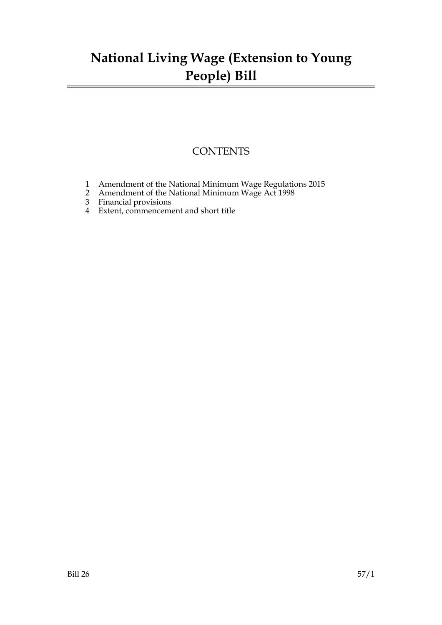# **National Living Wage (Extension to Young People) Bill**

### **CONTENTS**

- 1 Amendment of the National Minimum Wage Regulations 2015
- 2 Amendment of the National Minimum Wage Act 1998
- 3 Financial provisions
- 4 Extent, commencement and short title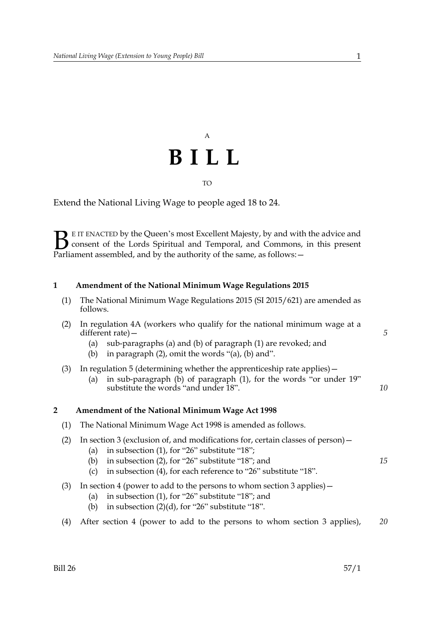# A **BILL**

## TO

Extend the National Living Wage to people aged 18 to 24.

E IT ENACTED by the Queen's most Excellent Majesty, by and with the advice and consent of the Lords Spiritual and Temporal, and Commons, in this present Parliament assembled, and by the authority of the same, as follows: - $\mathbf{B}_{\text{rel}}$ 

#### **1 Amendment of the National Minimum Wage Regulations 2015**

| (1) The National Minimum Wage Regulations 2015 (SI 2015/621) are amended as |
|-----------------------------------------------------------------------------|
| follows.                                                                    |

|   | (2)               | In regulation 4A (workers who qualify for the national minimum wage at a<br>different rate) –<br>sub-paragraphs (a) and (b) of paragraph (1) are revoked; and<br>(a)<br>in paragraph (2), omit the words "(a), (b) and".<br>(b)                                                  | 5  |
|---|-------------------|----------------------------------------------------------------------------------------------------------------------------------------------------------------------------------------------------------------------------------------------------------------------------------|----|
|   | (3)               | In regulation 5 (determining whether the apprenticeship rate applies) $-$<br>in sub-paragraph (b) of paragraph (1), for the words "or under 19"<br>(a)<br>substitute the words "and under 18".                                                                                   | 10 |
| 2 |                   | <b>Amendment of the National Minimum Wage Act 1998</b>                                                                                                                                                                                                                           |    |
|   | (1)               | The National Minimum Wage Act 1998 is amended as follows.                                                                                                                                                                                                                        |    |
|   | (2)               | In section 3 (exclusion of, and modifications for, certain classes of person) –<br>in subsection $(1)$ , for "26" substitute "18";<br>(a)<br>in subsection $(2)$ , for "26" substitute "18"; and<br>(b)<br>in subsection (4), for each reference to "26" substitute "18".<br>(c) | 15 |
|   | (3)               | In section 4 (power to add to the persons to whom section 3 applies) $-$<br>in subsection $(1)$ , for "26" substitute "18"; and<br>(a)<br>in subsection $(2)(d)$ , for "26" substitute "18".<br>(b)                                                                              |    |
|   | $\left( 4\right)$ | After section 4 (power to add to the persons to whom section 3 applies),                                                                                                                                                                                                         | 20 |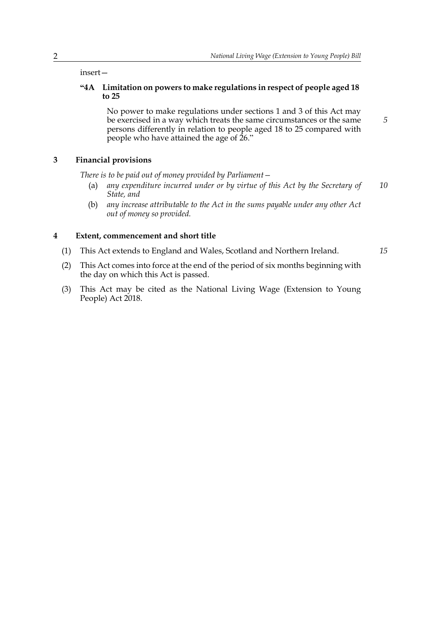insert—

#### **"4A Limitation on powers to make regulations in respect of people aged 18 to 25**

No power to make regulations under sections 1 and 3 of this Act may be exercised in a way which treats the same circumstances or the same persons differently in relation to people aged 18 to 25 compared with people who have attained the age of 26."

#### **3 Financial provisions**

*There is to be paid out of money provided by Parliament—*

- (a) *any expenditure incurred under or by virtue of this Act by the Secretary of State, and 10*
- (b) *any increase attributable to the Act in the sums payable under any other Act out of money so provided.*

#### **4 Extent, commencement and short title**

- (1) This Act extends to England and Wales, Scotland and Northern Ireland.
- *15*

*5*

- (2) This Act comes into force at the end of the period of six months beginning with the day on which this Act is passed.
- (3) This Act may be cited as the National Living Wage (Extension to Young People) Act 2018.